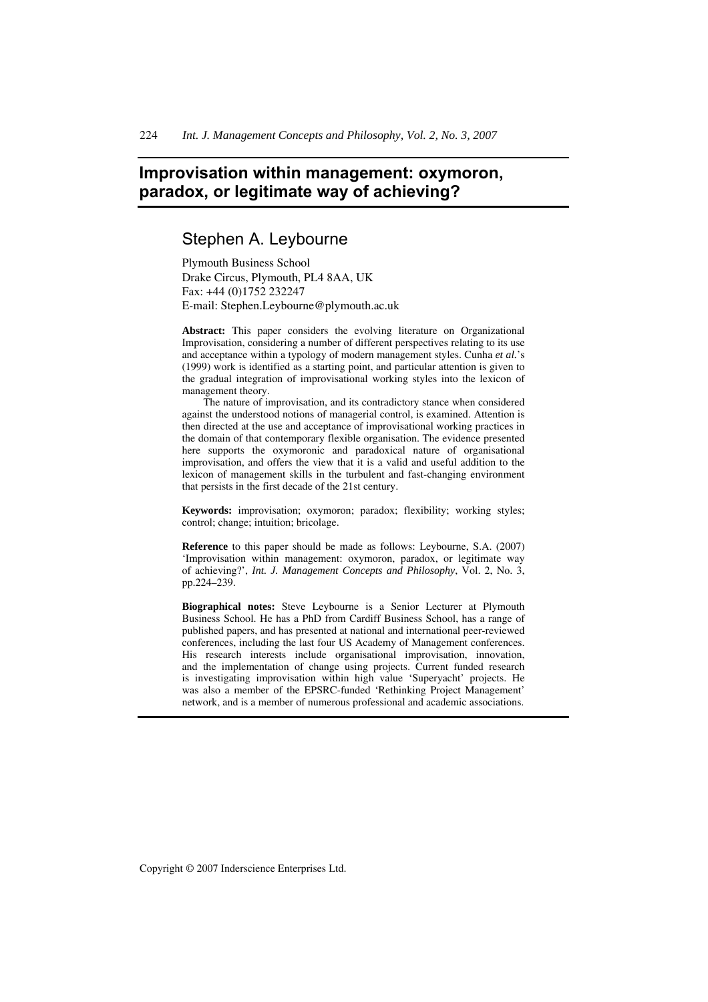# **Improvisation within management: oxymoron, paradox, or legitimate way of achieving?**

# Stephen A. Leybourne

Plymouth Business School Drake Circus, Plymouth, PL4 8AA, UK Fax: +44 (0)1752 232247 E-mail: Stephen.Leybourne@plymouth.ac.uk

**Abstract:** This paper considers the evolving literature on Organizational Improvisation, considering a number of different perspectives relating to its use and acceptance within a typology of modern management styles. Cunha *et al.*'s (1999) work is identified as a starting point, and particular attention is given to the gradual integration of improvisational working styles into the lexicon of management theory.

The nature of improvisation, and its contradictory stance when considered against the understood notions of managerial control, is examined. Attention is then directed at the use and acceptance of improvisational working practices in the domain of that contemporary flexible organisation. The evidence presented here supports the oxymoronic and paradoxical nature of organisational improvisation, and offers the view that it is a valid and useful addition to the lexicon of management skills in the turbulent and fast-changing environment that persists in the first decade of the 21st century.

**Keywords:** improvisation; oxymoron; paradox; flexibility; working styles; control; change; intuition; bricolage.

**Reference** to this paper should be made as follows: Leybourne, S.A. (2007) 'Improvisation within management: oxymoron, paradox, or legitimate way of achieving?', *Int. J. Management Concepts and Philosophy*, Vol. 2, No. 3, pp.224–239.

**Biographical notes:** Steve Leybourne is a Senior Lecturer at Plymouth Business School. He has a PhD from Cardiff Business School, has a range of published papers, and has presented at national and international peer-reviewed conferences, including the last four US Academy of Management conferences. His research interests include organisational improvisation, innovation, and the implementation of change using projects. Current funded research is investigating improvisation within high value 'Superyacht' projects. He was also a member of the EPSRC-funded 'Rethinking Project Management' network, and is a member of numerous professional and academic associations.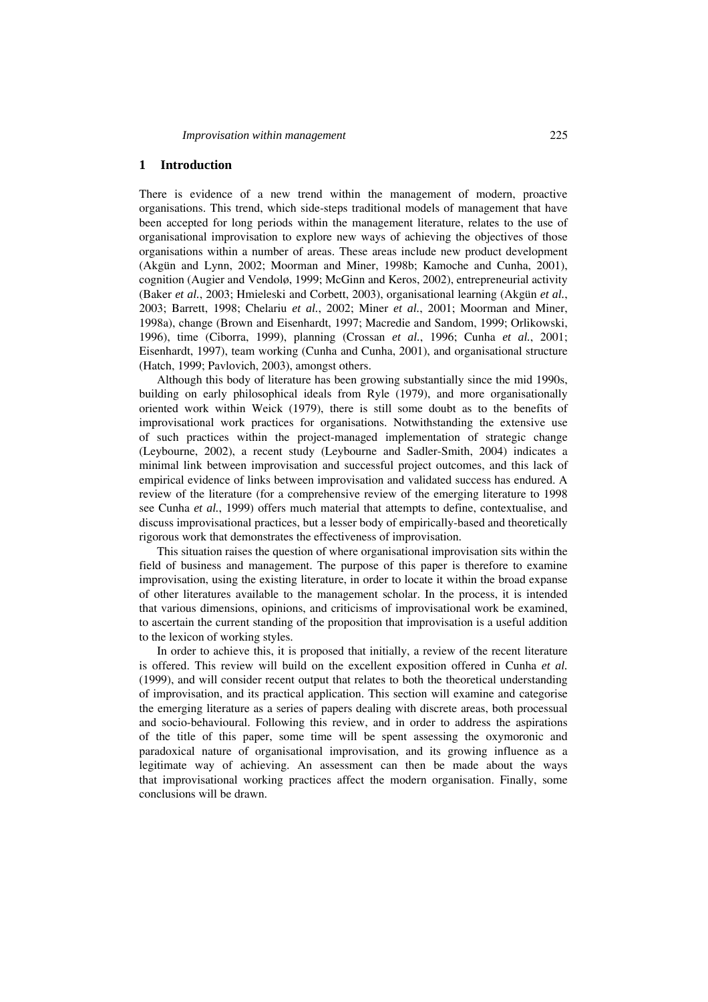#### **1 Introduction**

There is evidence of a new trend within the management of modern, proactive organisations. This trend, which side-steps traditional models of management that have been accepted for long periods within the management literature, relates to the use of organisational improvisation to explore new ways of achieving the objectives of those organisations within a number of areas. These areas include new product development (Akgün and Lynn, 2002; Moorman and Miner, 1998b; Kamoche and Cunha, 2001), cognition (Augier and Vendolø, 1999; McGinn and Keros, 2002), entrepreneurial activity (Baker *et al.*, 2003; Hmieleski and Corbett, 2003), organisational learning (Akgün *et al.*, 2003; Barrett, 1998; Chelariu *et al.*, 2002; Miner *et al.*, 2001; Moorman and Miner, 1998a), change (Brown and Eisenhardt, 1997; Macredie and Sandom, 1999; Orlikowski, 1996), time (Ciborra, 1999), planning (Crossan *et al.*, 1996; Cunha *et al.*, 2001; Eisenhardt, 1997), team working (Cunha and Cunha, 2001), and organisational structure (Hatch, 1999; Pavlovich, 2003), amongst others.

Although this body of literature has been growing substantially since the mid 1990s, building on early philosophical ideals from Ryle (1979), and more organisationally oriented work within Weick (1979), there is still some doubt as to the benefits of improvisational work practices for organisations. Notwithstanding the extensive use of such practices within the project-managed implementation of strategic change (Leybourne, 2002), a recent study (Leybourne and Sadler-Smith, 2004) indicates a minimal link between improvisation and successful project outcomes, and this lack of empirical evidence of links between improvisation and validated success has endured. A review of the literature (for a comprehensive review of the emerging literature to 1998 see Cunha *et al.*, 1999) offers much material that attempts to define, contextualise, and discuss improvisational practices, but a lesser body of empirically-based and theoretically rigorous work that demonstrates the effectiveness of improvisation.

This situation raises the question of where organisational improvisation sits within the field of business and management. The purpose of this paper is therefore to examine improvisation, using the existing literature, in order to locate it within the broad expanse of other literatures available to the management scholar. In the process, it is intended that various dimensions, opinions, and criticisms of improvisational work be examined, to ascertain the current standing of the proposition that improvisation is a useful addition to the lexicon of working styles.

In order to achieve this, it is proposed that initially, a review of the recent literature is offered. This review will build on the excellent exposition offered in Cunha *et al.* (1999), and will consider recent output that relates to both the theoretical understanding of improvisation, and its practical application. This section will examine and categorise the emerging literature as a series of papers dealing with discrete areas, both processual and socio-behavioural. Following this review, and in order to address the aspirations of the title of this paper, some time will be spent assessing the oxymoronic and paradoxical nature of organisational improvisation, and its growing influence as a legitimate way of achieving. An assessment can then be made about the ways that improvisational working practices affect the modern organisation. Finally, some conclusions will be drawn.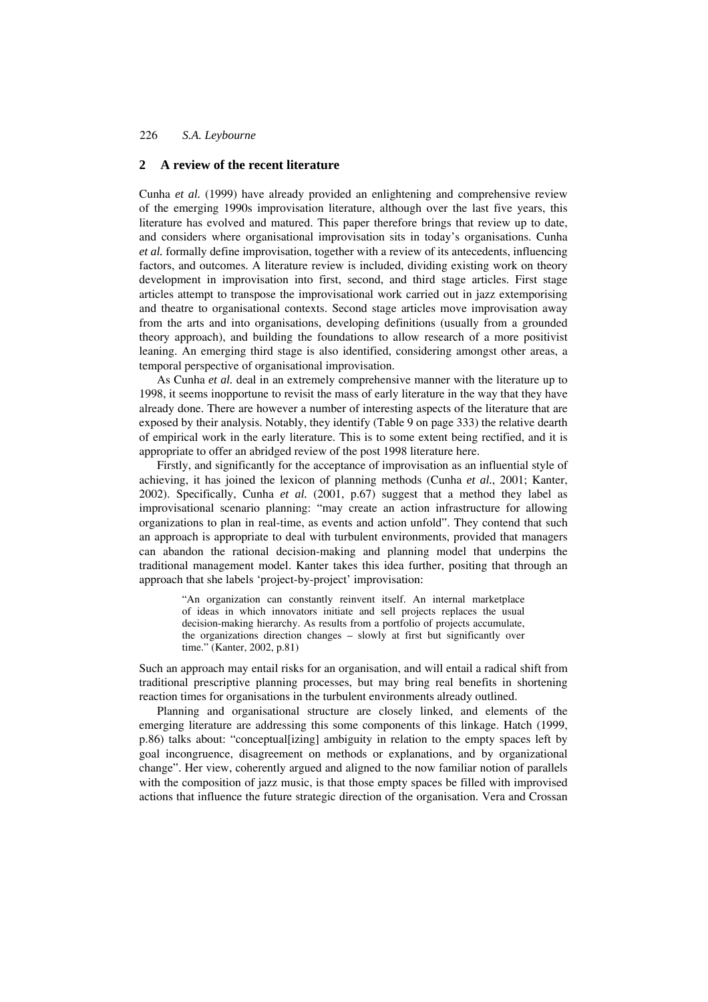## **2 A review of the recent literature**

Cunha *et al.* (1999) have already provided an enlightening and comprehensive review of the emerging 1990s improvisation literature, although over the last five years, this literature has evolved and matured. This paper therefore brings that review up to date, and considers where organisational improvisation sits in today's organisations. Cunha *et al.* formally define improvisation, together with a review of its antecedents, influencing factors, and outcomes. A literature review is included, dividing existing work on theory development in improvisation into first, second, and third stage articles. First stage articles attempt to transpose the improvisational work carried out in jazz extemporising and theatre to organisational contexts. Second stage articles move improvisation away from the arts and into organisations, developing definitions (usually from a grounded theory approach), and building the foundations to allow research of a more positivist leaning. An emerging third stage is also identified, considering amongst other areas, a temporal perspective of organisational improvisation.

As Cunha *et al.* deal in an extremely comprehensive manner with the literature up to 1998, it seems inopportune to revisit the mass of early literature in the way that they have already done. There are however a number of interesting aspects of the literature that are exposed by their analysis. Notably, they identify (Table 9 on page 333) the relative dearth of empirical work in the early literature. This is to some extent being rectified, and it is appropriate to offer an abridged review of the post 1998 literature here.

Firstly, and significantly for the acceptance of improvisation as an influential style of achieving, it has joined the lexicon of planning methods (Cunha *et al.*, 2001; Kanter, 2002). Specifically, Cunha *et al.* (2001, p.67) suggest that a method they label as improvisational scenario planning: "may create an action infrastructure for allowing organizations to plan in real-time, as events and action unfold". They contend that such an approach is appropriate to deal with turbulent environments, provided that managers can abandon the rational decision-making and planning model that underpins the traditional management model. Kanter takes this idea further, positing that through an approach that she labels 'project-by-project' improvisation:

"An organization can constantly reinvent itself. An internal marketplace of ideas in which innovators initiate and sell projects replaces the usual decision-making hierarchy. As results from a portfolio of projects accumulate, the organizations direction changes – slowly at first but significantly over time." (Kanter, 2002, p.81)

Such an approach may entail risks for an organisation, and will entail a radical shift from traditional prescriptive planning processes, but may bring real benefits in shortening reaction times for organisations in the turbulent environments already outlined.

Planning and organisational structure are closely linked, and elements of the emerging literature are addressing this some components of this linkage. Hatch (1999, p.86) talks about: "conceptual[izing] ambiguity in relation to the empty spaces left by goal incongruence, disagreement on methods or explanations, and by organizational change". Her view, coherently argued and aligned to the now familiar notion of parallels with the composition of jazz music, is that those empty spaces be filled with improvised actions that influence the future strategic direction of the organisation. Vera and Crossan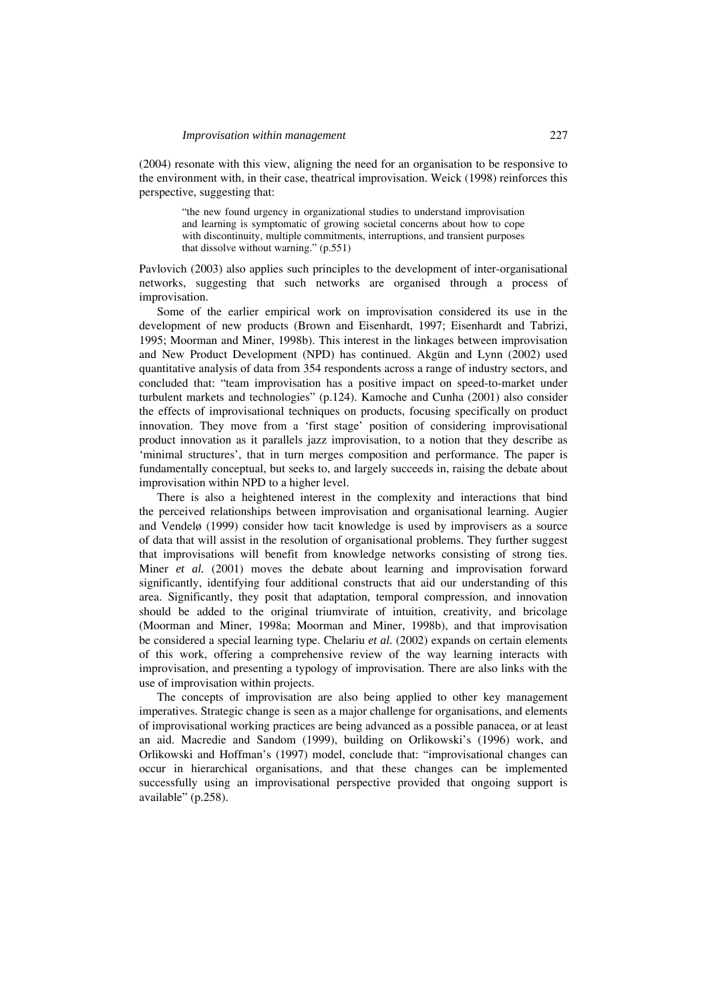(2004) resonate with this view, aligning the need for an organisation to be responsive to the environment with, in their case, theatrical improvisation. Weick (1998) reinforces this perspective, suggesting that:

"the new found urgency in organizational studies to understand improvisation and learning is symptomatic of growing societal concerns about how to cope with discontinuity, multiple commitments, interruptions, and transient purposes that dissolve without warning." (p.551)

Pavlovich (2003) also applies such principles to the development of inter-organisational networks, suggesting that such networks are organised through a process of improvisation.

Some of the earlier empirical work on improvisation considered its use in the development of new products (Brown and Eisenhardt, 1997; Eisenhardt and Tabrizi, 1995; Moorman and Miner, 1998b). This interest in the linkages between improvisation and New Product Development (NPD) has continued. Akgün and Lynn (2002) used quantitative analysis of data from 354 respondents across a range of industry sectors, and concluded that: "team improvisation has a positive impact on speed-to-market under turbulent markets and technologies" (p.124). Kamoche and Cunha (2001) also consider the effects of improvisational techniques on products, focusing specifically on product innovation. They move from a 'first stage' position of considering improvisational product innovation as it parallels jazz improvisation, to a notion that they describe as 'minimal structures', that in turn merges composition and performance. The paper is fundamentally conceptual, but seeks to, and largely succeeds in, raising the debate about improvisation within NPD to a higher level.

There is also a heightened interest in the complexity and interactions that bind the perceived relationships between improvisation and organisational learning. Augier and Vendelø (1999) consider how tacit knowledge is used by improvisers as a source of data that will assist in the resolution of organisational problems. They further suggest that improvisations will benefit from knowledge networks consisting of strong ties. Miner *et al.* (2001) moves the debate about learning and improvisation forward significantly, identifying four additional constructs that aid our understanding of this area. Significantly, they posit that adaptation, temporal compression, and innovation should be added to the original triumvirate of intuition, creativity, and bricolage (Moorman and Miner, 1998a; Moorman and Miner, 1998b), and that improvisation be considered a special learning type. Chelariu *et al.* (2002) expands on certain elements of this work, offering a comprehensive review of the way learning interacts with improvisation, and presenting a typology of improvisation. There are also links with the use of improvisation within projects.

The concepts of improvisation are also being applied to other key management imperatives. Strategic change is seen as a major challenge for organisations, and elements of improvisational working practices are being advanced as a possible panacea, or at least an aid. Macredie and Sandom (1999), building on Orlikowski's (1996) work, and Orlikowski and Hoffman's (1997) model, conclude that: "improvisational changes can occur in hierarchical organisations, and that these changes can be implemented successfully using an improvisational perspective provided that ongoing support is available" (p.258).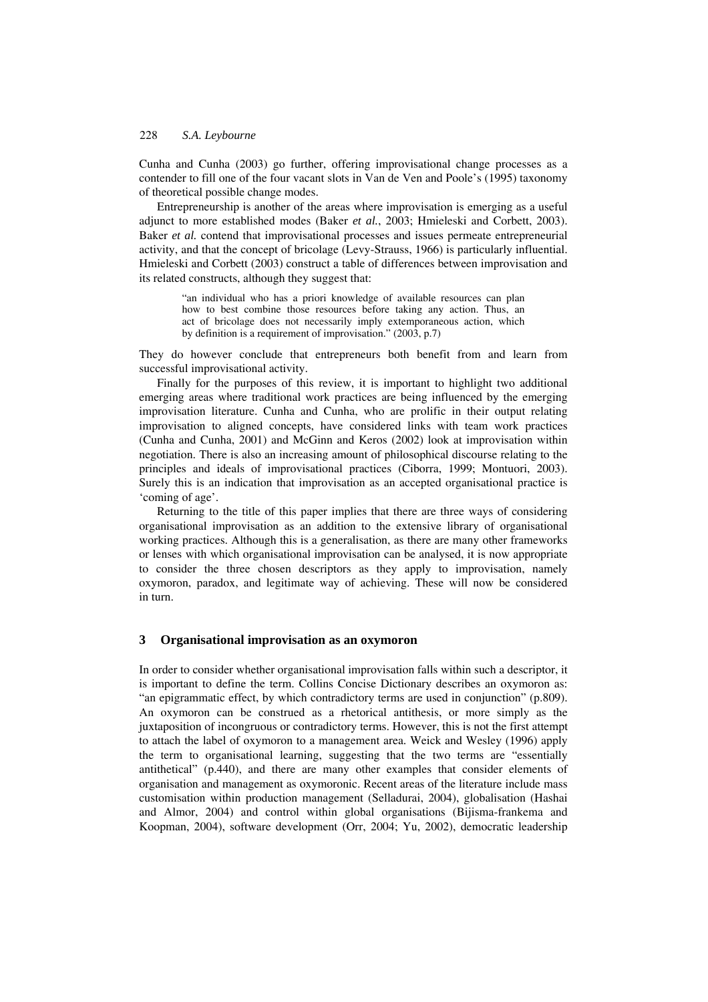Cunha and Cunha (2003) go further, offering improvisational change processes as a contender to fill one of the four vacant slots in Van de Ven and Poole's (1995) taxonomy of theoretical possible change modes.

Entrepreneurship is another of the areas where improvisation is emerging as a useful adjunct to more established modes (Baker *et al.*, 2003; Hmieleski and Corbett, 2003). Baker *et al.* contend that improvisational processes and issues permeate entrepreneurial activity, and that the concept of bricolage (Levy-Strauss, 1966) is particularly influential. Hmieleski and Corbett (2003) construct a table of differences between improvisation and its related constructs, although they suggest that:

"an individual who has a priori knowledge of available resources can plan how to best combine those resources before taking any action. Thus, an act of bricolage does not necessarily imply extemporaneous action, which by definition is a requirement of improvisation." (2003, p.7)

They do however conclude that entrepreneurs both benefit from and learn from successful improvisational activity.

Finally for the purposes of this review, it is important to highlight two additional emerging areas where traditional work practices are being influenced by the emerging improvisation literature. Cunha and Cunha, who are prolific in their output relating improvisation to aligned concepts, have considered links with team work practices (Cunha and Cunha, 2001) and McGinn and Keros (2002) look at improvisation within negotiation. There is also an increasing amount of philosophical discourse relating to the principles and ideals of improvisational practices (Ciborra, 1999; Montuori, 2003). Surely this is an indication that improvisation as an accepted organisational practice is 'coming of age'.

Returning to the title of this paper implies that there are three ways of considering organisational improvisation as an addition to the extensive library of organisational working practices. Although this is a generalisation, as there are many other frameworks or lenses with which organisational improvisation can be analysed, it is now appropriate to consider the three chosen descriptors as they apply to improvisation, namely oxymoron, paradox, and legitimate way of achieving. These will now be considered in turn.

#### **3 Organisational improvisation as an oxymoron**

In order to consider whether organisational improvisation falls within such a descriptor, it is important to define the term. Collins Concise Dictionary describes an oxymoron as: "an epigrammatic effect, by which contradictory terms are used in conjunction" (p.809). An oxymoron can be construed as a rhetorical antithesis, or more simply as the juxtaposition of incongruous or contradictory terms. However, this is not the first attempt to attach the label of oxymoron to a management area. Weick and Wesley (1996) apply the term to organisational learning, suggesting that the two terms are "essentially antithetical" (p.440), and there are many other examples that consider elements of organisation and management as oxymoronic. Recent areas of the literature include mass customisation within production management (Selladurai, 2004), globalisation (Hashai and Almor, 2004) and control within global organisations (Bijisma-frankema and Koopman, 2004), software development (Orr, 2004; Yu, 2002), democratic leadership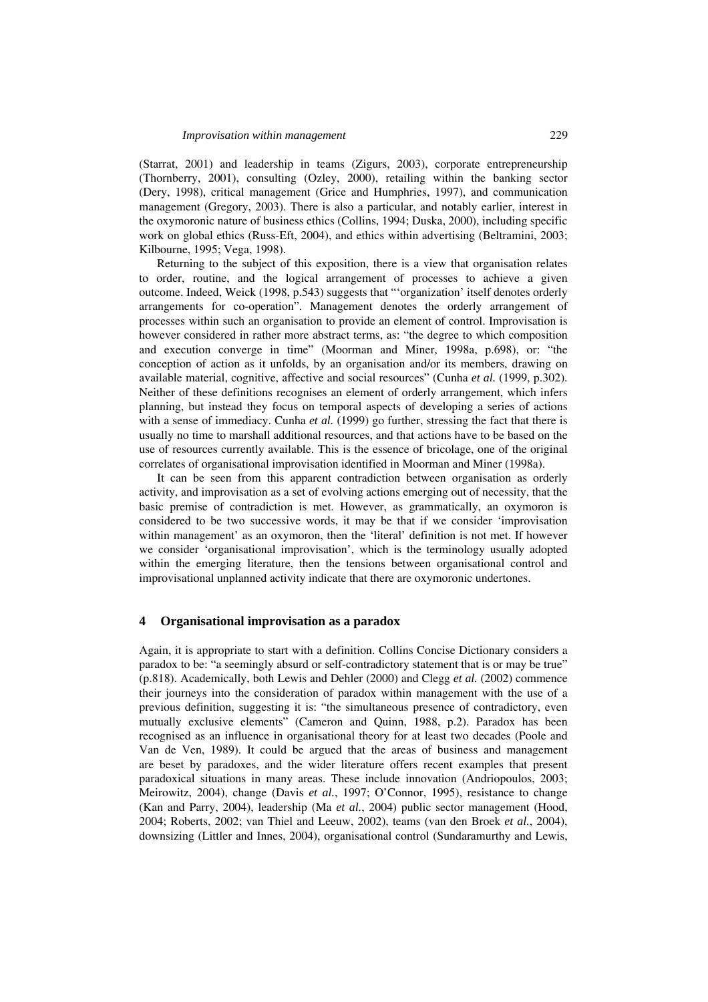(Starrat, 2001) and leadership in teams (Zigurs, 2003), corporate entrepreneurship (Thornberry, 2001), consulting (Ozley, 2000), retailing within the banking sector (Dery, 1998), critical management (Grice and Humphries, 1997), and communication management (Gregory, 2003). There is also a particular, and notably earlier, interest in the oxymoronic nature of business ethics (Collins, 1994; Duska, 2000), including specific work on global ethics (Russ-Eft, 2004), and ethics within advertising (Beltramini, 2003; Kilbourne, 1995; Vega, 1998).

Returning to the subject of this exposition, there is a view that organisation relates to order, routine, and the logical arrangement of processes to achieve a given outcome. Indeed, Weick (1998, p.543) suggests that "'organization' itself denotes orderly arrangements for co-operation". Management denotes the orderly arrangement of processes within such an organisation to provide an element of control. Improvisation is however considered in rather more abstract terms, as: "the degree to which composition and execution converge in time" (Moorman and Miner, 1998a, p.698), or: "the conception of action as it unfolds, by an organisation and/or its members, drawing on available material, cognitive, affective and social resources" (Cunha *et al.* (1999, p.302). Neither of these definitions recognises an element of orderly arrangement, which infers planning, but instead they focus on temporal aspects of developing a series of actions with a sense of immediacy. Cunha *et al.* (1999) go further, stressing the fact that there is usually no time to marshall additional resources, and that actions have to be based on the use of resources currently available. This is the essence of bricolage, one of the original correlates of organisational improvisation identified in Moorman and Miner (1998a).

It can be seen from this apparent contradiction between organisation as orderly activity, and improvisation as a set of evolving actions emerging out of necessity, that the basic premise of contradiction is met. However, as grammatically, an oxymoron is considered to be two successive words, it may be that if we consider 'improvisation within management' as an oxymoron, then the 'literal' definition is not met. If however we consider 'organisational improvisation', which is the terminology usually adopted within the emerging literature, then the tensions between organisational control and improvisational unplanned activity indicate that there are oxymoronic undertones.

#### **4 Organisational improvisation as a paradox**

Again, it is appropriate to start with a definition. Collins Concise Dictionary considers a paradox to be: "a seemingly absurd or self-contradictory statement that is or may be true" (p.818). Academically, both Lewis and Dehler (2000) and Clegg *et al.* (2002) commence their journeys into the consideration of paradox within management with the use of a previous definition, suggesting it is: "the simultaneous presence of contradictory, even mutually exclusive elements" (Cameron and Quinn, 1988, p.2). Paradox has been recognised as an influence in organisational theory for at least two decades (Poole and Van de Ven, 1989). It could be argued that the areas of business and management are beset by paradoxes, and the wider literature offers recent examples that present paradoxical situations in many areas. These include innovation (Andriopoulos, 2003; Meirowitz, 2004), change (Davis *et al.*, 1997; O'Connor, 1995), resistance to change (Kan and Parry, 2004), leadership (Ma *et al.*, 2004) public sector management (Hood, 2004; Roberts, 2002; van Thiel and Leeuw, 2002), teams (van den Broek *et al.*, 2004), downsizing (Littler and Innes, 2004), organisational control (Sundaramurthy and Lewis,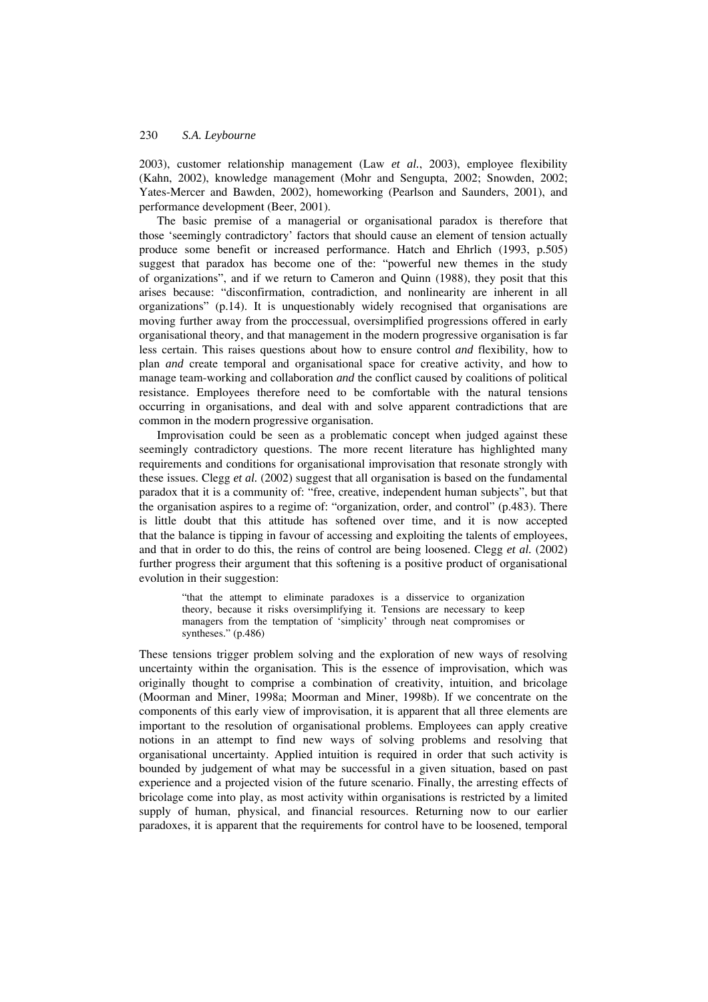2003), customer relationship management (Law *et al.*, 2003), employee flexibility (Kahn, 2002), knowledge management (Mohr and Sengupta, 2002; Snowden, 2002; Yates-Mercer and Bawden, 2002), homeworking (Pearlson and Saunders, 2001), and performance development (Beer, 2001).

The basic premise of a managerial or organisational paradox is therefore that those 'seemingly contradictory' factors that should cause an element of tension actually produce some benefit or increased performance. Hatch and Ehrlich (1993, p.505) suggest that paradox has become one of the: "powerful new themes in the study of organizations", and if we return to Cameron and Quinn (1988), they posit that this arises because: "disconfirmation, contradiction, and nonlinearity are inherent in all organizations" (p.14). It is unquestionably widely recognised that organisations are moving further away from the proccessual, oversimplified progressions offered in early organisational theory, and that management in the modern progressive organisation is far less certain. This raises questions about how to ensure control *and* flexibility, how to plan *and* create temporal and organisational space for creative activity, and how to manage team-working and collaboration *and* the conflict caused by coalitions of political resistance. Employees therefore need to be comfortable with the natural tensions occurring in organisations, and deal with and solve apparent contradictions that are common in the modern progressive organisation.

Improvisation could be seen as a problematic concept when judged against these seemingly contradictory questions. The more recent literature has highlighted many requirements and conditions for organisational improvisation that resonate strongly with these issues. Clegg *et al.* (2002) suggest that all organisation is based on the fundamental paradox that it is a community of: "free, creative, independent human subjects", but that the organisation aspires to a regime of: "organization, order, and control" (p.483). There is little doubt that this attitude has softened over time, and it is now accepted that the balance is tipping in favour of accessing and exploiting the talents of employees, and that in order to do this, the reins of control are being loosened. Clegg *et al.* (2002) further progress their argument that this softening is a positive product of organisational evolution in their suggestion:

> "that the attempt to eliminate paradoxes is a disservice to organization theory, because it risks oversimplifying it. Tensions are necessary to keep managers from the temptation of 'simplicity' through neat compromises or syntheses." (p.486)

These tensions trigger problem solving and the exploration of new ways of resolving uncertainty within the organisation. This is the essence of improvisation, which was originally thought to comprise a combination of creativity, intuition, and bricolage (Moorman and Miner, 1998a; Moorman and Miner, 1998b). If we concentrate on the components of this early view of improvisation, it is apparent that all three elements are important to the resolution of organisational problems. Employees can apply creative notions in an attempt to find new ways of solving problems and resolving that organisational uncertainty. Applied intuition is required in order that such activity is bounded by judgement of what may be successful in a given situation, based on past experience and a projected vision of the future scenario. Finally, the arresting effects of bricolage come into play, as most activity within organisations is restricted by a limited supply of human, physical, and financial resources. Returning now to our earlier paradoxes, it is apparent that the requirements for control have to be loosened, temporal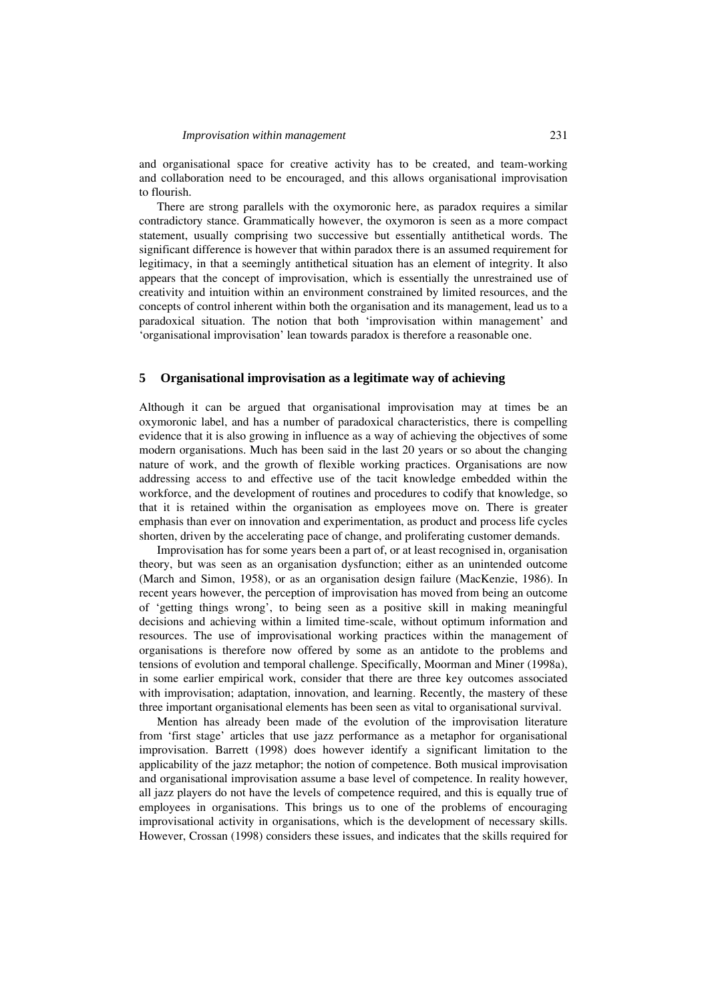and organisational space for creative activity has to be created, and team-working and collaboration need to be encouraged, and this allows organisational improvisation to flourish.

There are strong parallels with the oxymoronic here, as paradox requires a similar contradictory stance. Grammatically however, the oxymoron is seen as a more compact statement, usually comprising two successive but essentially antithetical words. The significant difference is however that within paradox there is an assumed requirement for legitimacy, in that a seemingly antithetical situation has an element of integrity. It also appears that the concept of improvisation, which is essentially the unrestrained use of creativity and intuition within an environment constrained by limited resources, and the concepts of control inherent within both the organisation and its management, lead us to a paradoxical situation. The notion that both 'improvisation within management' and 'organisational improvisation' lean towards paradox is therefore a reasonable one.

#### **5 Organisational improvisation as a legitimate way of achieving**

Although it can be argued that organisational improvisation may at times be an oxymoronic label, and has a number of paradoxical characteristics, there is compelling evidence that it is also growing in influence as a way of achieving the objectives of some modern organisations. Much has been said in the last 20 years or so about the changing nature of work, and the growth of flexible working practices. Organisations are now addressing access to and effective use of the tacit knowledge embedded within the workforce, and the development of routines and procedures to codify that knowledge, so that it is retained within the organisation as employees move on. There is greater emphasis than ever on innovation and experimentation, as product and process life cycles shorten, driven by the accelerating pace of change, and proliferating customer demands.

Improvisation has for some years been a part of, or at least recognised in, organisation theory, but was seen as an organisation dysfunction; either as an unintended outcome (March and Simon, 1958), or as an organisation design failure (MacKenzie, 1986). In recent years however, the perception of improvisation has moved from being an outcome of 'getting things wrong', to being seen as a positive skill in making meaningful decisions and achieving within a limited time-scale, without optimum information and resources. The use of improvisational working practices within the management of organisations is therefore now offered by some as an antidote to the problems and tensions of evolution and temporal challenge. Specifically, Moorman and Miner (1998a), in some earlier empirical work, consider that there are three key outcomes associated with improvisation; adaptation, innovation, and learning. Recently, the mastery of these three important organisational elements has been seen as vital to organisational survival.

Mention has already been made of the evolution of the improvisation literature from 'first stage' articles that use jazz performance as a metaphor for organisational improvisation. Barrett (1998) does however identify a significant limitation to the applicability of the jazz metaphor; the notion of competence. Both musical improvisation and organisational improvisation assume a base level of competence. In reality however, all jazz players do not have the levels of competence required, and this is equally true of employees in organisations. This brings us to one of the problems of encouraging improvisational activity in organisations, which is the development of necessary skills. However, Crossan (1998) considers these issues, and indicates that the skills required for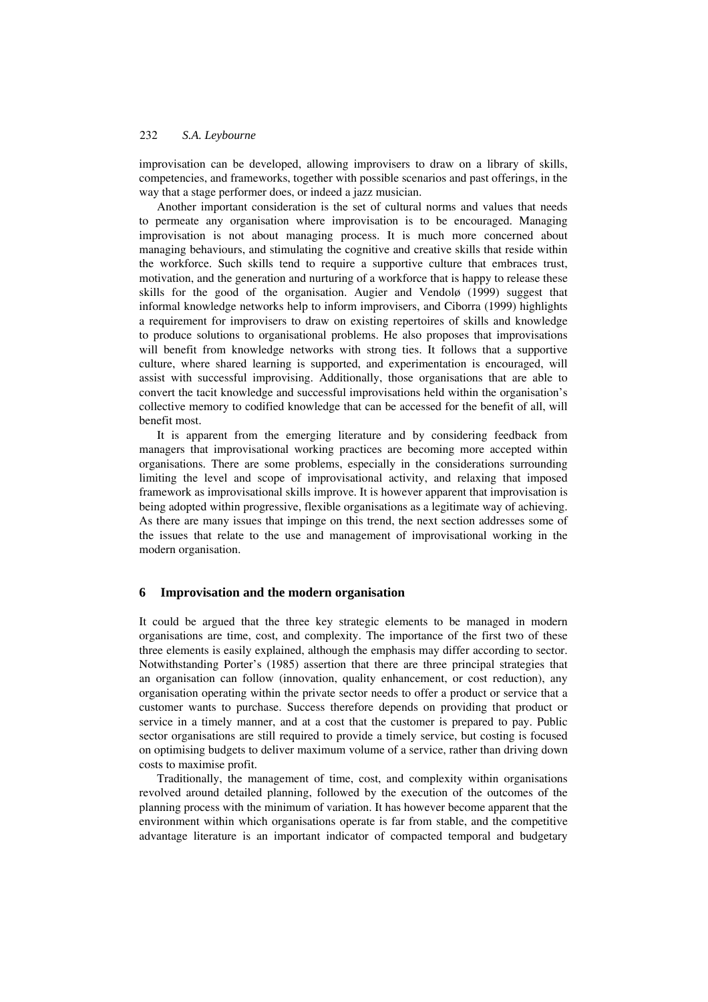improvisation can be developed, allowing improvisers to draw on a library of skills, competencies, and frameworks, together with possible scenarios and past offerings, in the way that a stage performer does, or indeed a jazz musician.

Another important consideration is the set of cultural norms and values that needs to permeate any organisation where improvisation is to be encouraged. Managing improvisation is not about managing process. It is much more concerned about managing behaviours, and stimulating the cognitive and creative skills that reside within the workforce. Such skills tend to require a supportive culture that embraces trust, motivation, and the generation and nurturing of a workforce that is happy to release these skills for the good of the organisation. Augier and Vendolø (1999) suggest that informal knowledge networks help to inform improvisers, and Ciborra (1999) highlights a requirement for improvisers to draw on existing repertoires of skills and knowledge to produce solutions to organisational problems. He also proposes that improvisations will benefit from knowledge networks with strong ties. It follows that a supportive culture, where shared learning is supported, and experimentation is encouraged, will assist with successful improvising. Additionally, those organisations that are able to convert the tacit knowledge and successful improvisations held within the organisation's collective memory to codified knowledge that can be accessed for the benefit of all, will benefit most.

It is apparent from the emerging literature and by considering feedback from managers that improvisational working practices are becoming more accepted within organisations. There are some problems, especially in the considerations surrounding limiting the level and scope of improvisational activity, and relaxing that imposed framework as improvisational skills improve. It is however apparent that improvisation is being adopted within progressive, flexible organisations as a legitimate way of achieving. As there are many issues that impinge on this trend, the next section addresses some of the issues that relate to the use and management of improvisational working in the modern organisation.

#### **6 Improvisation and the modern organisation**

It could be argued that the three key strategic elements to be managed in modern organisations are time, cost, and complexity. The importance of the first two of these three elements is easily explained, although the emphasis may differ according to sector. Notwithstanding Porter's (1985) assertion that there are three principal strategies that an organisation can follow (innovation, quality enhancement, or cost reduction), any organisation operating within the private sector needs to offer a product or service that a customer wants to purchase. Success therefore depends on providing that product or service in a timely manner, and at a cost that the customer is prepared to pay. Public sector organisations are still required to provide a timely service, but costing is focused on optimising budgets to deliver maximum volume of a service, rather than driving down costs to maximise profit.

Traditionally, the management of time, cost, and complexity within organisations revolved around detailed planning, followed by the execution of the outcomes of the planning process with the minimum of variation. It has however become apparent that the environment within which organisations operate is far from stable, and the competitive advantage literature is an important indicator of compacted temporal and budgetary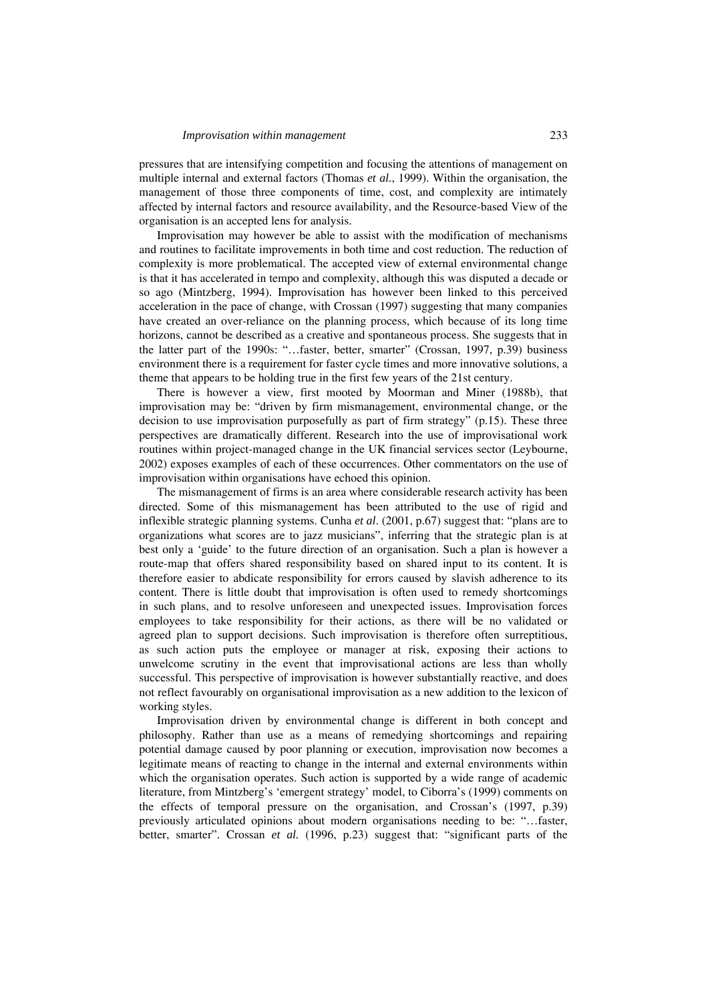pressures that are intensifying competition and focusing the attentions of management on multiple internal and external factors (Thomas *et al.*, 1999). Within the organisation, the management of those three components of time, cost, and complexity are intimately affected by internal factors and resource availability, and the Resource-based View of the organisation is an accepted lens for analysis.

Improvisation may however be able to assist with the modification of mechanisms and routines to facilitate improvements in both time and cost reduction. The reduction of complexity is more problematical. The accepted view of external environmental change is that it has accelerated in tempo and complexity, although this was disputed a decade or so ago (Mintzberg, 1994). Improvisation has however been linked to this perceived acceleration in the pace of change, with Crossan (1997) suggesting that many companies have created an over-reliance on the planning process, which because of its long time horizons, cannot be described as a creative and spontaneous process. She suggests that in the latter part of the 1990s: "…faster, better, smarter" (Crossan, 1997, p.39) business environment there is a requirement for faster cycle times and more innovative solutions, a theme that appears to be holding true in the first few years of the 21st century.

There is however a view, first mooted by Moorman and Miner (1988b), that improvisation may be: "driven by firm mismanagement, environmental change, or the decision to use improvisation purposefully as part of firm strategy" (p.15). These three perspectives are dramatically different. Research into the use of improvisational work routines within project-managed change in the UK financial services sector (Leybourne, 2002) exposes examples of each of these occurrences. Other commentators on the use of improvisation within organisations have echoed this opinion.

The mismanagement of firms is an area where considerable research activity has been directed. Some of this mismanagement has been attributed to the use of rigid and inflexible strategic planning systems. Cunha *et al*. (2001, p.67) suggest that: "plans are to organizations what scores are to jazz musicians", inferring that the strategic plan is at best only a 'guide' to the future direction of an organisation. Such a plan is however a route-map that offers shared responsibility based on shared input to its content. It is therefore easier to abdicate responsibility for errors caused by slavish adherence to its content. There is little doubt that improvisation is often used to remedy shortcomings in such plans, and to resolve unforeseen and unexpected issues. Improvisation forces employees to take responsibility for their actions, as there will be no validated or agreed plan to support decisions. Such improvisation is therefore often surreptitious, as such action puts the employee or manager at risk, exposing their actions to unwelcome scrutiny in the event that improvisational actions are less than wholly successful. This perspective of improvisation is however substantially reactive, and does not reflect favourably on organisational improvisation as a new addition to the lexicon of working styles.

Improvisation driven by environmental change is different in both concept and philosophy. Rather than use as a means of remedying shortcomings and repairing potential damage caused by poor planning or execution, improvisation now becomes a legitimate means of reacting to change in the internal and external environments within which the organisation operates. Such action is supported by a wide range of academic literature, from Mintzberg's 'emergent strategy' model, to Ciborra's (1999) comments on the effects of temporal pressure on the organisation, and Crossan's (1997, p.39) previously articulated opinions about modern organisations needing to be: "…faster, better, smarter". Crossan *et al.* (1996, p.23) suggest that: "significant parts of the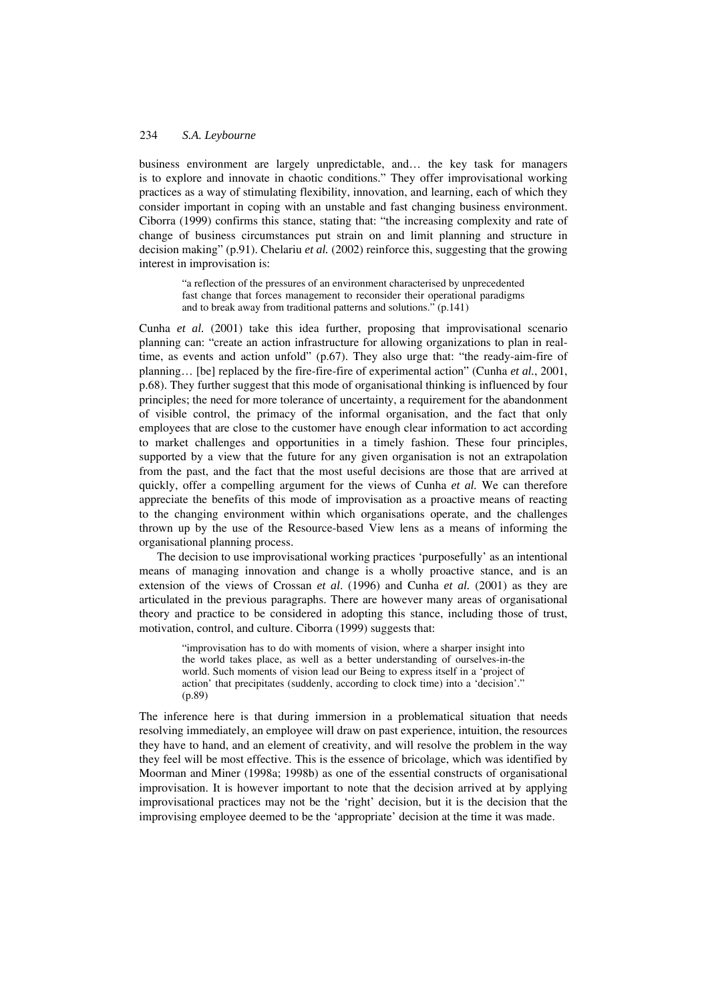business environment are largely unpredictable, and… the key task for managers is to explore and innovate in chaotic conditions." They offer improvisational working practices as a way of stimulating flexibility, innovation, and learning, each of which they consider important in coping with an unstable and fast changing business environment. Ciborra (1999) confirms this stance, stating that: "the increasing complexity and rate of change of business circumstances put strain on and limit planning and structure in decision making" (p.91). Chelariu *et al.* (2002) reinforce this, suggesting that the growing interest in improvisation is:

> "a reflection of the pressures of an environment characterised by unprecedented fast change that forces management to reconsider their operational paradigms and to break away from traditional patterns and solutions." (p.141)

Cunha *et al.* (2001) take this idea further, proposing that improvisational scenario planning can: "create an action infrastructure for allowing organizations to plan in realtime, as events and action unfold" (p.67). They also urge that: "the ready-aim-fire of planning… [be] replaced by the fire-fire-fire of experimental action" (Cunha *et al.*, 2001, p.68). They further suggest that this mode of organisational thinking is influenced by four principles; the need for more tolerance of uncertainty, a requirement for the abandonment of visible control, the primacy of the informal organisation, and the fact that only employees that are close to the customer have enough clear information to act according to market challenges and opportunities in a timely fashion. These four principles, supported by a view that the future for any given organisation is not an extrapolation from the past, and the fact that the most useful decisions are those that are arrived at quickly, offer a compelling argument for the views of Cunha *et al.* We can therefore appreciate the benefits of this mode of improvisation as a proactive means of reacting to the changing environment within which organisations operate, and the challenges thrown up by the use of the Resource-based View lens as a means of informing the organisational planning process.

The decision to use improvisational working practices 'purposefully' as an intentional means of managing innovation and change is a wholly proactive stance, and is an extension of the views of Crossan *et al*. (1996) and Cunha *et al.* (2001) as they are articulated in the previous paragraphs. There are however many areas of organisational theory and practice to be considered in adopting this stance, including those of trust, motivation, control, and culture. Ciborra (1999) suggests that:

"improvisation has to do with moments of vision, where a sharper insight into the world takes place, as well as a better understanding of ourselves-in-the world. Such moments of vision lead our Being to express itself in a 'project of action' that precipitates (suddenly, according to clock time) into a 'decision'." (p.89)

The inference here is that during immersion in a problematical situation that needs resolving immediately, an employee will draw on past experience, intuition, the resources they have to hand, and an element of creativity, and will resolve the problem in the way they feel will be most effective. This is the essence of bricolage, which was identified by Moorman and Miner (1998a; 1998b) as one of the essential constructs of organisational improvisation. It is however important to note that the decision arrived at by applying improvisational practices may not be the 'right' decision, but it is the decision that the improvising employee deemed to be the 'appropriate' decision at the time it was made.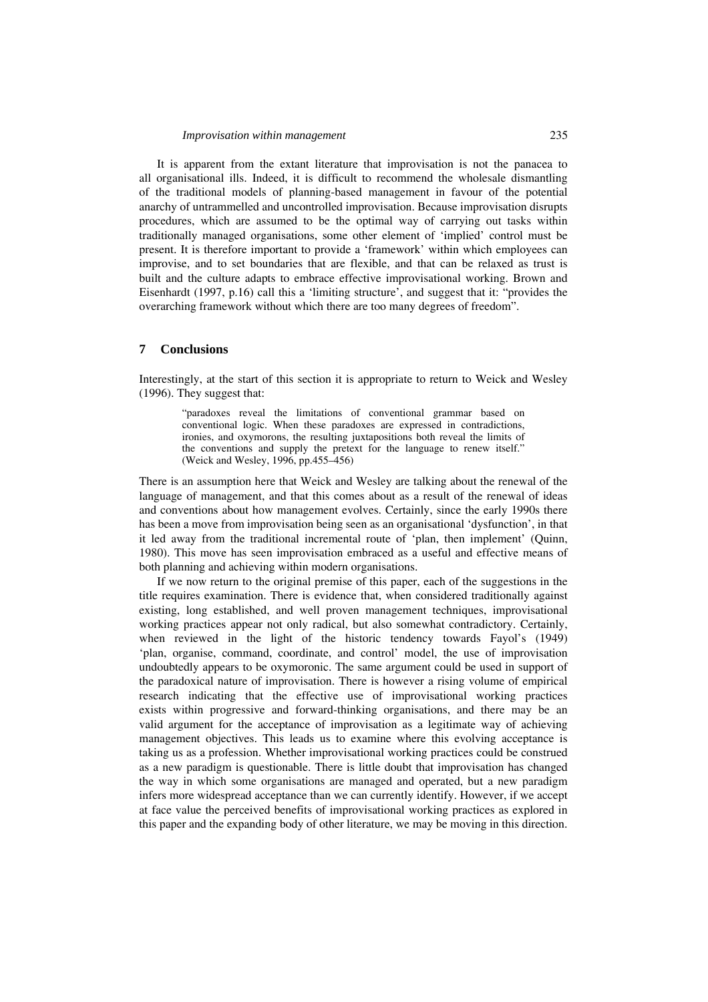It is apparent from the extant literature that improvisation is not the panacea to all organisational ills. Indeed, it is difficult to recommend the wholesale dismantling of the traditional models of planning-based management in favour of the potential anarchy of untrammelled and uncontrolled improvisation. Because improvisation disrupts procedures, which are assumed to be the optimal way of carrying out tasks within traditionally managed organisations, some other element of 'implied' control must be present. It is therefore important to provide a 'framework' within which employees can improvise, and to set boundaries that are flexible, and that can be relaxed as trust is built and the culture adapts to embrace effective improvisational working. Brown and Eisenhardt (1997, p.16) call this a 'limiting structure', and suggest that it: "provides the overarching framework without which there are too many degrees of freedom".

#### **7 Conclusions**

Interestingly, at the start of this section it is appropriate to return to Weick and Wesley (1996). They suggest that:

> "paradoxes reveal the limitations of conventional grammar based on conventional logic. When these paradoxes are expressed in contradictions, ironies, and oxymorons, the resulting juxtapositions both reveal the limits of the conventions and supply the pretext for the language to renew itself." (Weick and Wesley, 1996, pp.455–456)

There is an assumption here that Weick and Wesley are talking about the renewal of the language of management, and that this comes about as a result of the renewal of ideas and conventions about how management evolves. Certainly, since the early 1990s there has been a move from improvisation being seen as an organisational 'dysfunction', in that it led away from the traditional incremental route of 'plan, then implement' (Quinn, 1980). This move has seen improvisation embraced as a useful and effective means of both planning and achieving within modern organisations.

If we now return to the original premise of this paper, each of the suggestions in the title requires examination. There is evidence that, when considered traditionally against existing, long established, and well proven management techniques, improvisational working practices appear not only radical, but also somewhat contradictory. Certainly, when reviewed in the light of the historic tendency towards Fayol's (1949) 'plan, organise, command, coordinate, and control' model, the use of improvisation undoubtedly appears to be oxymoronic. The same argument could be used in support of the paradoxical nature of improvisation. There is however a rising volume of empirical research indicating that the effective use of improvisational working practices exists within progressive and forward-thinking organisations, and there may be an valid argument for the acceptance of improvisation as a legitimate way of achieving management objectives. This leads us to examine where this evolving acceptance is taking us as a profession. Whether improvisational working practices could be construed as a new paradigm is questionable. There is little doubt that improvisation has changed the way in which some organisations are managed and operated, but a new paradigm infers more widespread acceptance than we can currently identify. However, if we accept at face value the perceived benefits of improvisational working practices as explored in this paper and the expanding body of other literature, we may be moving in this direction.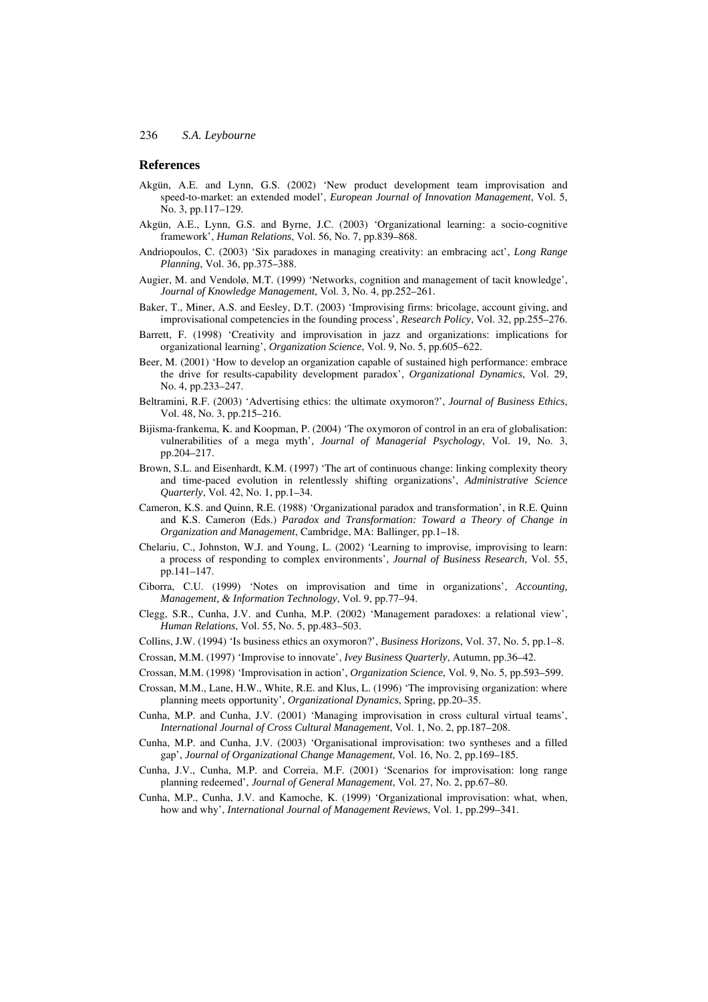#### **References**

- Akgün, A.E. and Lynn, G.S. (2002) 'New product development team improvisation and speed-to-market: an extended model', *European Journal of Innovation Management*, Vol. 5, No. 3, pp.117–129.
- Akgün, A.E., Lynn, G.S. and Byrne, J.C. (2003) 'Organizational learning: a socio-cognitive framework', *Human Relations*, Vol. 56, No. 7, pp.839–868.
- Andriopoulos, C. (2003) 'Six paradoxes in managing creativity: an embracing act', *Long Range Planning*, Vol. 36, pp.375–388.
- Augier, M. and Vendolø, M.T. (1999) 'Networks, cognition and management of tacit knowledge', *Journal of Knowledge Management*, Vol. 3, No. 4, pp.252–261.
- Baker, T., Miner, A.S. and Eesley, D.T. (2003) 'Improvising firms: bricolage, account giving, and improvisational competencies in the founding process', *Research Policy*, Vol. 32, pp.255–276.
- Barrett, F. (1998) 'Creativity and improvisation in jazz and organizations: implications for organizational learning', *Organization Science*, Vol. 9, No. 5, pp.605–622.
- Beer, M. (2001) 'How to develop an organization capable of sustained high performance: embrace the drive for results-capability development paradox', *Organizational Dynamics*, Vol. 29, No. 4, pp.233–247.
- Beltramini, R.F. (2003) 'Advertising ethics: the ultimate oxymoron?', *Journal of Business Ethics*, Vol. 48, No. 3, pp.215–216.
- Bijisma-frankema, K. and Koopman, P. (2004) 'The oxymoron of control in an era of globalisation: vulnerabilities of a mega myth', *Journal of Managerial Psychology*, Vol. 19, No. 3, pp.204–217.
- Brown, S.L. and Eisenhardt, K.M. (1997) 'The art of continuous change: linking complexity theory and time-paced evolution in relentlessly shifting organizations', *Administrative Science Quarterly*, Vol. 42, No. 1, pp.1–34.
- Cameron, K.S. and Quinn, R.E. (1988) 'Organizational paradox and transformation', in R.E. Quinn and K.S. Cameron (Eds.) *Paradox and Transformation: Toward a Theory of Change in Organization and Management*, Cambridge, MA: Ballinger, pp.1–18.
- Chelariu, C., Johnston, W.J. and Young, L. (2002) 'Learning to improvise, improvising to learn: a process of responding to complex environments', *Journal of Business Research*, Vol. 55, pp.141–147.
- Ciborra, C.U. (1999) 'Notes on improvisation and time in organizations', *Accounting, Management, & Information Technology*, Vol. 9, pp.77–94.
- Clegg, S.R., Cunha, J.V. and Cunha, M.P. (2002) 'Management paradoxes: a relational view', *Human Relations*, Vol. 55, No. 5, pp.483–503.
- Collins, J.W. (1994) 'Is business ethics an oxymoron?', *Business Horizons*, Vol. 37, No. 5, pp.1–8.
- Crossan, M.M. (1997) 'Improvise to innovate', *Ivey Business Quarterly*, Autumn, pp.36–42.
- Crossan, M.M. (1998) 'Improvisation in action', *Organization Science*, Vol. 9, No. 5, pp.593–599.
- Crossan, M.M., Lane, H.W., White, R.E. and Klus, L. (1996) 'The improvising organization: where planning meets opportunity', *Organizational Dynamics*, Spring, pp.20–35.
- Cunha, M.P. and Cunha, J.V. (2001) 'Managing improvisation in cross cultural virtual teams', *International Journal of Cross Cultural Management*, Vol. 1, No. 2, pp.187–208.
- Cunha, M.P. and Cunha, J.V. (2003) 'Organisational improvisation: two syntheses and a filled gap', *Journal of Organizational Change Management*, Vol. 16, No. 2, pp.169–185.
- Cunha, J.V., Cunha, M.P. and Correia, M.F. (2001) 'Scenarios for improvisation: long range planning redeemed', *Journal of General Management*, Vol. 27, No. 2, pp.67–80.
- Cunha, M.P., Cunha, J.V. and Kamoche, K. (1999) 'Organizational improvisation: what, when, how and why', *International Journal of Management Reviews*, Vol. 1, pp.299–341.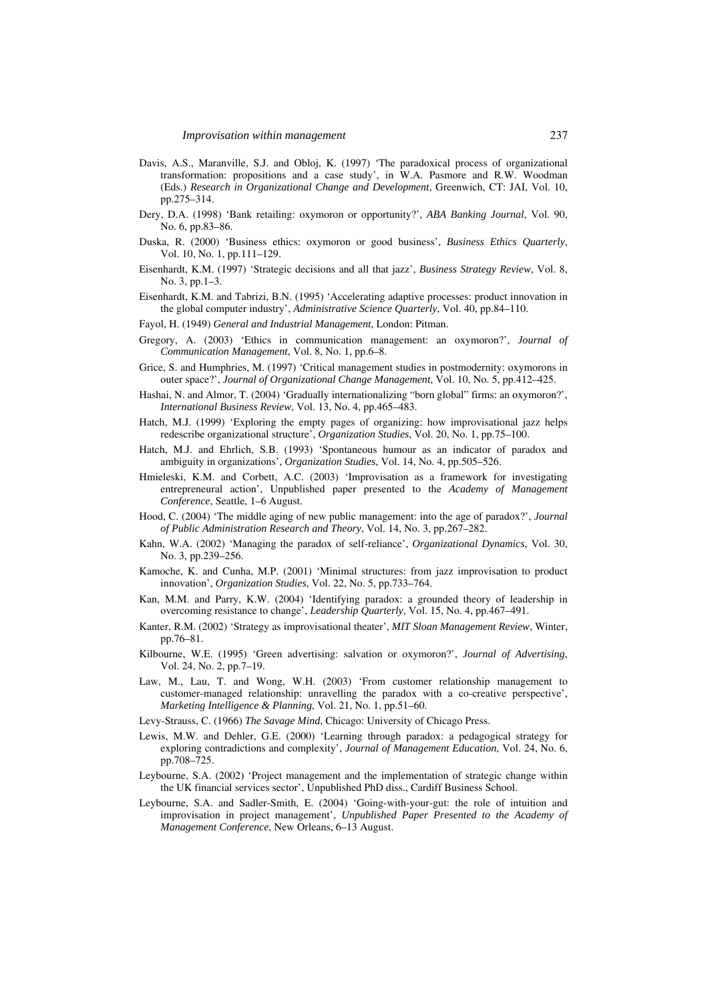- Davis, A.S., Maranville, S.J. and Obloj, K. (1997) 'The paradoxical process of organizational transformation: propositions and a case study', in W.A. Pasmore and R.W. Woodman (Eds.) *Research in Organizational Change and Development*, Greenwich, CT: JAI, Vol. 10, pp.275–314.
- Dery, D.A. (1998) 'Bank retailing: oxymoron or opportunity?', *ABA Banking Journal*, Vol. 90, No. 6, pp.83–86.
- Duska, R. (2000) 'Business ethics: oxymoron or good business', *Business Ethics Quarterly*, Vol. 10, No. 1, pp.111–129.
- Eisenhardt, K.M. (1997) 'Strategic decisions and all that jazz', *Business Strategy Review*, Vol. 8, No. 3, pp.1–3.
- Eisenhardt, K.M. and Tabrizi, B.N. (1995) 'Accelerating adaptive processes: product innovation in the global computer industry', *Administrative Science Quarterly*, Vol. 40, pp.84–110.
- Fayol, H. (1949) *General and Industrial Management*, London: Pitman.
- Gregory, A. (2003) 'Ethics in communication management: an oxymoron?', *Journal of Communication Management*, Vol. 8, No. 1, pp.6–8.
- Grice, S. and Humphries, M. (1997) 'Critical management studies in postmodernity: oxymorons in outer space?', *Journal of Organizational Change Management*, Vol. 10, No. 5, pp.412–425.
- Hashai, N. and Almor, T. (2004) 'Gradually internationalizing "born global" firms: an oxymoron?', *International Business Review*, Vol. 13, No. 4, pp.465–483.
- Hatch, M.J. (1999) 'Exploring the empty pages of organizing: how improvisational jazz helps redescribe organizational structure', *Organization Studies*, Vol. 20, No. 1, pp.75–100.
- Hatch, M.J. and Ehrlich, S.B. (1993) 'Spontaneous humour as an indicator of paradox and ambiguity in organizations', *Organization Studies*, Vol. 14, No. 4, pp.505–526.
- Hmieleski, K.M. and Corbett, A.C. (2003) 'Improvisation as a framework for investigating entrepreneural action', Unpublished paper presented to the *Academy of Management Conference*, Seattle, 1–6 August.
- Hood, C. (2004) 'The middle aging of new public management: into the age of paradox?', *Journal of Public Administration Research and Theory*, Vol. 14, No. 3, pp.267–282.
- Kahn, W.A. (2002) 'Managing the paradox of self-reliance', *Organizational Dynamics*, Vol. 30, No. 3, pp.239–256.
- Kamoche, K. and Cunha, M.P. (2001) 'Minimal structures: from jazz improvisation to product innovation', *Organization Studies*, Vol. 22, No. 5, pp.733–764.
- Kan, M.M. and Parry, K.W. (2004) 'Identifying paradox: a grounded theory of leadership in overcoming resistance to change', *Leadership Quarterly*, Vol. 15, No. 4, pp.467–491.
- Kanter, R.M. (2002) 'Strategy as improvisational theater', *MIT Sloan Management Review*, Winter, pp.76–81.
- Kilbourne, W.E. (1995) 'Green advertising: salvation or oxymoron?', *Journal of Advertising*, Vol. 24, No. 2, pp.7–19.
- Law, M., Lau, T. and Wong, W.H. (2003) 'From customer relationship management to customer-managed relationship: unravelling the paradox with a co-creative perspective', *Marketing Intelligence & Planning*, Vol. 21, No. 1, pp.51–60.
- Levy-Strauss, C. (1966) *The Savage Mind*, Chicago: University of Chicago Press.
- Lewis, M.W. and Dehler, G.E. (2000) 'Learning through paradox: a pedagogical strategy for exploring contradictions and complexity', *Journal of Management Education*, Vol. 24, No. 6, pp.708–725.
- Leybourne, S.A. (2002) 'Project management and the implementation of strategic change within the UK financial services sector', Unpublished PhD diss., Cardiff Business School.
- Leybourne, S.A. and Sadler-Smith, E. (2004) 'Going-with-your-gut: the role of intuition and improvisation in project management', *Unpublished Paper Presented to the Academy of Management Conference*, New Orleans, 6–13 August.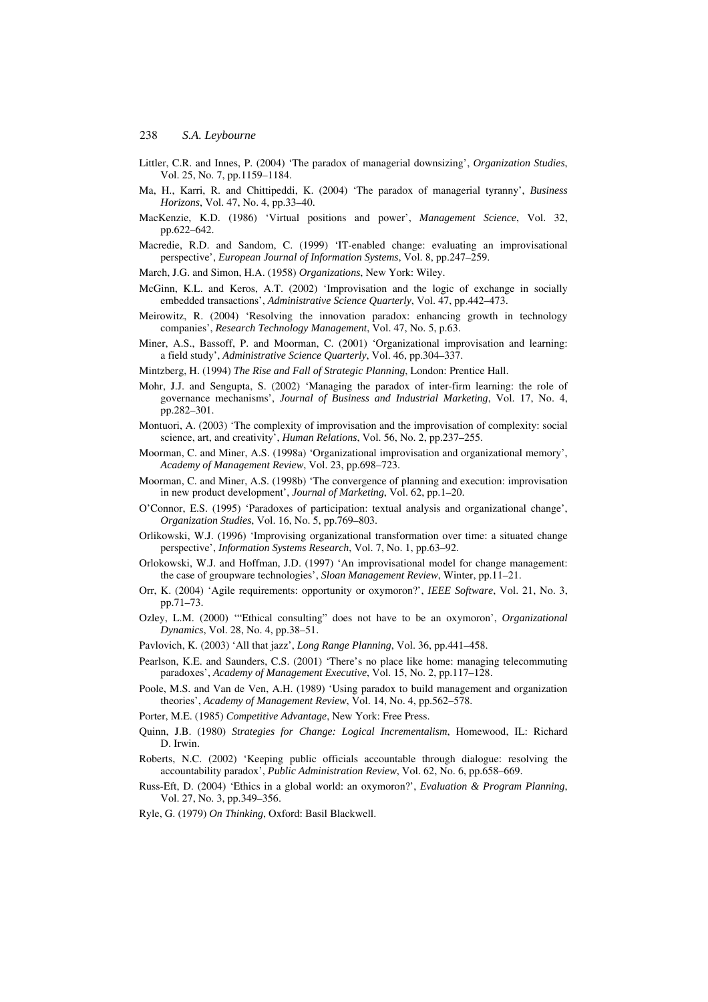- Littler, C.R. and Innes, P. (2004) 'The paradox of managerial downsizing', *Organization Studies*, Vol. 25, No. 7, pp.1159–1184.
- Ma, H., Karri, R. and Chittipeddi, K. (2004) 'The paradox of managerial tyranny', *Business Horizons*, Vol. 47, No. 4, pp.33–40.
- MacKenzie, K.D. (1986) 'Virtual positions and power', *Management Science*, Vol. 32, pp.622–642.
- Macredie, R.D. and Sandom, C. (1999) 'IT-enabled change: evaluating an improvisational perspective', *European Journal of Information Systems*, Vol. 8, pp.247–259.
- March, J.G. and Simon, H.A. (1958) *Organizations*, New York: Wiley.
- McGinn, K.L. and Keros, A.T. (2002) 'Improvisation and the logic of exchange in socially embedded transactions', *Administrative Science Quarterly*, Vol. 47, pp.442–473.
- Meirowitz, R. (2004) 'Resolving the innovation paradox: enhancing growth in technology companies', *Research Technology Management*, Vol. 47, No. 5, p.63.
- Miner, A.S., Bassoff, P. and Moorman, C. (2001) 'Organizational improvisation and learning: a field study', *Administrative Science Quarterly*, Vol. 46, pp.304–337.
- Mintzberg, H. (1994) *The Rise and Fall of Strategic Planning*, London: Prentice Hall.
- Mohr, J.J. and Sengupta, S. (2002) 'Managing the paradox of inter-firm learning: the role of governance mechanisms', *Journal of Business and Industrial Marketing*, Vol. 17, No. 4, pp.282–301.
- Montuori, A. (2003) 'The complexity of improvisation and the improvisation of complexity: social science, art, and creativity', *Human Relations*, Vol. 56, No. 2, pp.237–255.
- Moorman, C. and Miner, A.S. (1998a) 'Organizational improvisation and organizational memory', *Academy of Management Review*, Vol. 23, pp.698–723.
- Moorman, C. and Miner, A.S. (1998b) 'The convergence of planning and execution: improvisation in new product development', *Journal of Marketing*, Vol. 62, pp.1–20.
- O'Connor, E.S. (1995) 'Paradoxes of participation: textual analysis and organizational change', *Organization Studies*, Vol. 16, No. 5, pp.769–803.
- Orlikowski, W.J. (1996) 'Improvising organizational transformation over time: a situated change perspective', *Information Systems Research*, Vol. 7, No. 1, pp.63–92.
- Orlokowski, W.J. and Hoffman, J.D. (1997) 'An improvisational model for change management: the case of groupware technologies', *Sloan Management Review*, Winter, pp.11–21.
- Orr, K. (2004) 'Agile requirements: opportunity or oxymoron?', *IEEE Software*, Vol. 21, No. 3, pp.71–73.
- Ozley, L.M. (2000) '"Ethical consulting" does not have to be an oxymoron', *Organizational Dynamics*, Vol. 28, No. 4, pp.38–51.
- Pavlovich, K. (2003) 'All that jazz', *Long Range Planning*, Vol. 36, pp.441–458.
- Pearlson, K.E. and Saunders, C.S. (2001) 'There's no place like home: managing telecommuting paradoxes', *Academy of Management Executive*, Vol. 15, No. 2, pp.117–128.
- Poole, M.S. and Van de Ven, A.H. (1989) 'Using paradox to build management and organization theories', *Academy of Management Review*, Vol. 14, No. 4, pp.562–578.
- Porter, M.E. (1985) *Competitive Advantage*, New York: Free Press.
- Quinn, J.B. (1980) *Strategies for Change: Logical Incrementalism*, Homewood, IL: Richard D. Irwin.
- Roberts, N.C. (2002) 'Keeping public officials accountable through dialogue: resolving the accountability paradox', *Public Administration Review*, Vol. 62, No. 6, pp.658–669.
- Russ-Eft, D. (2004) 'Ethics in a global world: an oxymoron?', *Evaluation & Program Planning*, Vol. 27, No. 3, pp.349–356.
- Ryle, G. (1979) *On Thinking*, Oxford: Basil Blackwell.